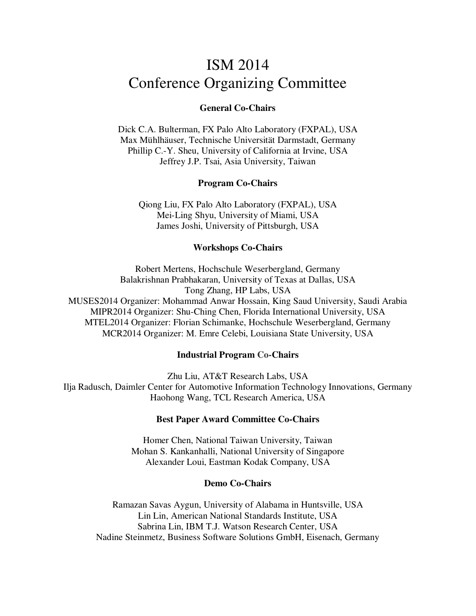# ISM 2014 Conference Organizing Committee

## **General Co-Chairs**

Dick C.A. Bulterman, FX Palo Alto Laboratory (FXPAL), USA Max Mühlhäuser, Technische Universität Darmstadt, Germany Phillip C.-Y. Sheu, University of California at Irvine, USA Jeffrey J.P. Tsai, Asia University, Taiwan

#### **Program Co-Chairs**

Qiong Liu, FX Palo Alto Laboratory (FXPAL), USA Mei-Ling Shyu, University of Miami, USA James Joshi, University of Pittsburgh, USA

#### **Workshops Co-Chairs**

Robert Mertens, Hochschule Weserbergland, Germany Balakrishnan Prabhakaran, University of Texas at Dallas, USA Tong Zhang, HP Labs, USA MUSES2014 Organizer: Mohammad Anwar Hossain, King Saud University, Saudi Arabia MIPR2014 Organizer: Shu-Ching Chen, Florida International University, USA MTEL2014 Organizer: Florian Schimanke, Hochschule Weserbergland, Germany MCR2014 Organizer: M. Emre Celebi, Louisiana State University, USA

#### **Industrial Program Co-Chairs**

Zhu Liu, AT&T Research Labs, USA Ilja Radusch, Daimler Center for Automotive Information Technology Innovations, Germany Haohong Wang, TCL Research America, USA

#### **Best Paper Award Committee Co-Chairs**

Homer Chen, National Taiwan University, Taiwan Mohan S. Kankanhalli, National University of Singapore Alexander Loui, Eastman Kodak Company, USA

#### **Demo Co-Chairs**

Ramazan Savas Aygun, University of Alabama in Huntsville, USA Lin Lin, American National Standards Institute, USA Sabrina Lin, IBM T.J. Watson Research Center, USA Nadine Steinmetz, Business Software Solutions GmbH, Eisenach, Germany